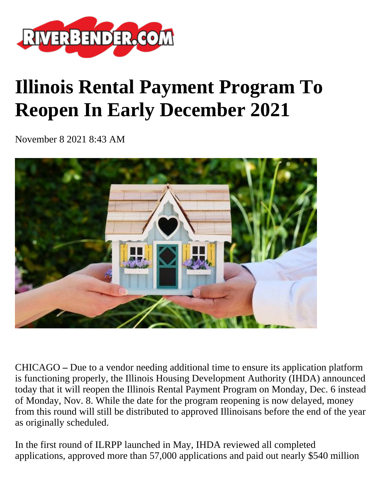

## **Illinois Rental Payment Program To Reopen In Early December 2021**

November 8 2021 8:43 AM



CHICAGO **–** Due to a vendor needing additional time to ensure its application platform is functioning properly, the Illinois Housing Development Authority (IHDA) announced today that it will reopen the Illinois Rental Payment Program on Monday, Dec. 6 instead of Monday, Nov. 8. While the date for the program reopening is now delayed, money from this round will still be distributed to approved Illinoisans before the end of the year as originally scheduled.

In the first round of ILRPP launched in May, IHDA reviewed all completed applications, approved more than 57,000 applications and paid out nearly \$540 million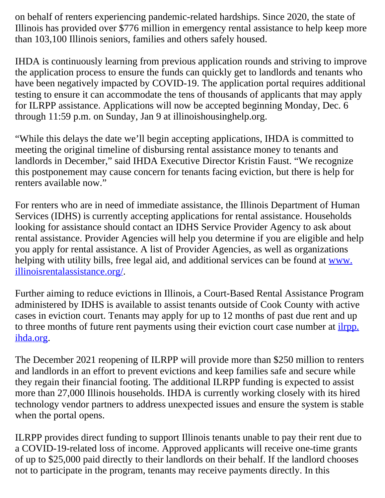on behalf of renters experiencing pandemic-related hardships. Since 2020, the state of Illinois has provided over \$776 million in emergency rental assistance to help keep more than 103,100 Illinois seniors, families and others safely housed.

IHDA is continuously learning from previous application rounds and striving to improve the application process to ensure the funds can quickly get to landlords and tenants who have been negatively impacted by COVID-19. The application portal requires additional testing to ensure it can accommodate the tens of thousands of applicants that may apply for ILRPP assistance. Applications will now be accepted beginning Monday, Dec. 6 through 11:59 p.m. on Sunday, Jan 9 at illinoishousinghelp.org.

"While this delays the date we'll begin accepting applications, IHDA is committed to meeting the original timeline of disbursing rental assistance money to tenants and landlords in December," said IHDA Executive Director Kristin Faust. "We recognize this postponement may cause concern for tenants facing eviction, but there is help for renters available now."

For renters who are in need of immediate assistance, the Illinois Department of Human Services (IDHS) is currently accepting applications for rental assistance. Households looking for assistance should contact an IDHS Service Provider Agency to ask about rental assistance. Provider Agencies will help you determine if you are eligible and help you apply for rental assistance. A list of Provider Agencies, as well as organizations helping with utility bills, free legal aid, and additional services can be found at [www.](http://www.illinoisrentalassistance.org/) [illinoisrentalassistance.org/.](http://www.illinoisrentalassistance.org/)

Further aiming to reduce evictions in Illinois, a Court-Based Rental Assistance Program administered by IDHS is available to assist tenants outside of Cook County with active cases in eviction court. Tenants may apply for up to 12 months of past due rent and up to three months of future rent payments using their eviction court case number at *ilrpp*. [ihda.org](https://secure-web.cisco.com/1Letgx0ESgbgNL8DLPvN8jyMkdsIAX7bCWxg41EDaYOJMrRs3HLvyrD5JWO0r8WMpXpF_3ndcStNVYgqCdTom_RMW0555Q9dN87gqp3f53B4Lxyp-uysTJbW_niDGAK5gcXY0o1hsmkXUoCvIv2nNpmICZ_zPgAybNuezb4zvrLyp8Dw-VMeGs9xsRZiqZ0dgGpXbK8WYxvKBoxnRtPUVMN5NOhqmGhRYiWZnKJwrGS3_T5v_Jb6H6P89bEQ9dDil0sCONLMfRw4MRIk0ZsJ3M3EDdUyWlv-KF5uT2bCBNRE2trCtnE6e12cIQrL1HMW0XjcBGNO2PapJegkKtDLvDs7twficJm6ZXBl6VVi0ZZBMNHjc3_jxwM4m0F0KFaglXht_FK_v_okJnCH8V4gLBX5M66FrS6lw3J2JvIM2BXU/https%3A%2F%2Filrpp.ihda.org%2F).

The December 2021 reopening of ILRPP will provide more than \$250 million to renters and landlords in an effort to prevent evictions and keep families safe and secure while they regain their financial footing. The additional ILRPP funding is expected to assist more than 27,000 Illinois households. IHDA is currently working closely with its hired technology vendor partners to address unexpected issues and ensure the system is stable when the portal opens.

ILRPP provides direct funding to support Illinois tenants unable to pay their rent due to a COVID-19-related loss of income. Approved applicants will receive one-time grants of up to \$25,000 paid directly to their landlords on their behalf. If the landlord chooses not to participate in the program, tenants may receive payments directly. In this